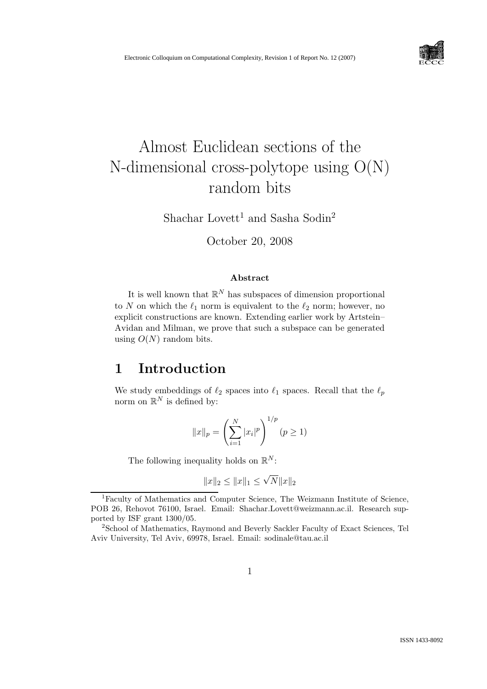

# Almost Euclidean sections of the N-dimensional cross-polytope using O(N) random bits

Shachar Lovett<sup>1</sup> and Sasha Sodin<sup>2</sup>

October 20, 2008

#### Abstract

It is well known that  $\mathbb{R}^N$  has subspaces of dimension proportional to N on which the  $\ell_1$  norm is equivalent to the  $\ell_2$  norm; however, no explicit constructions are known. Extending earlier work by Artstein– Avidan and Milman, we prove that such a subspace can be generated using  $O(N)$  random bits.

#### 1 Introduction

We study embeddings of  $\ell_2$  spaces into  $\ell_1$  spaces. Recall that the  $\ell_p$ norm on  $\mathbb{R}^N$  is defined by:

$$
||x||_p = \left(\sum_{i=1}^N |x_i|^p\right)^{1/p} (p \ge 1)
$$

The following inequality holds on  $\mathbb{R}^N$ :

$$
||x||_2 \le ||x||_1 \le \sqrt{N} ||x||_2
$$

<sup>1</sup>Faculty of Mathematics and Computer Science, The Weizmann Institute of Science, POB 26, Rehovot 76100, Israel. Email: Shachar.Lovett@weizmann.ac.il. Research supported by ISF grant 1300/05.

<sup>&</sup>lt;sup>2</sup>School of Mathematics, Raymond and Beverly Sackler Faculty of Exact Sciences, Tel Aviv University, Tel Aviv, 69978, Israel. Email: sodinale@tau.ac.il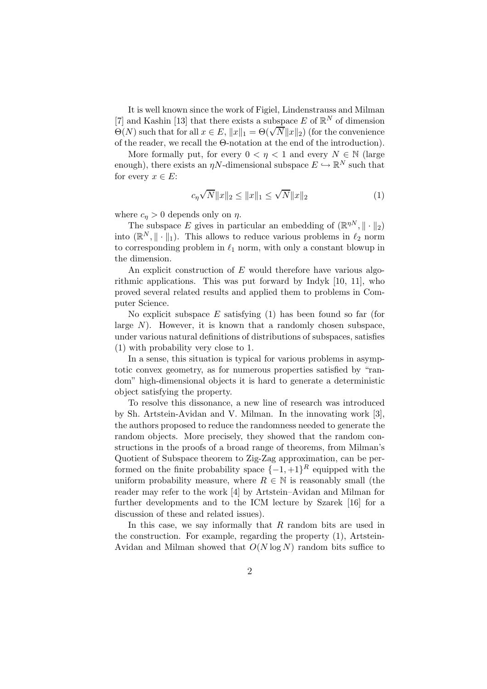It is well known since the work of Figiel, Lindenstrauss and Milman [7] and Kashin [13] that there exists a subspace E of  $\mathbb{R}^N$  of dimension  $\Theta(N)$  such that for all  $x \in E$ ,  $||x||_1 = \Theta(\sqrt{N}||x||_2)$  (for the convenience of the reader, we recall the Θ-notation at the end of the introduction).

More formally put, for every  $0 < \eta < 1$  and every  $N \in \mathbb{N}$  (large enough), there exists an  $\eta N$ -dimensional subspace  $E \hookrightarrow \mathbb{R}^N$  such that for every  $x \in E$ :

$$
c_{\eta}\sqrt{N}\|x\|_{2} \le \|x\|_{1} \le \sqrt{N}\|x\|_{2}
$$
 (1)

where  $c_n > 0$  depends only on  $\eta$ .

The subspace E gives in particular an embedding of  $(\mathbb{R}^{\eta N}, \|\cdot\|_2)$ into  $(\mathbb{R}^N, \|\cdot\|_1)$ . This allows to reduce various problems in  $\ell_2$  norm to corresponding problem in  $\ell_1$  norm, with only a constant blowup in the dimension.

An explicit construction of  $E$  would therefore have various algorithmic applications. This was put forward by Indyk [10, 11], who proved several related results and applied them to problems in Computer Science.

No explicit subspace  $E$  satisfying (1) has been found so far (for large  $N$ ). However, it is known that a randomly chosen subspace, under various natural definitions of distributions of subspaces, satisfies (1) with probability very close to 1.

In a sense, this situation is typical for various problems in asymptotic convex geometry, as for numerous properties satisfied by "random" high-dimensional objects it is hard to generate a deterministic object satisfying the property.

To resolve this dissonance, a new line of research was introduced by Sh. Artstein-Avidan and V. Milman. In the innovating work [3], the authors proposed to reduce the randomness needed to generate the random objects. More precisely, they showed that the random constructions in the proofs of a broad range of theorems, from Milman's Quotient of Subspace theorem to Zig-Zag approximation, can be performed on the finite probability space  $\{-1, +1\}^R$  equipped with the uniform probability measure, where  $R \in \mathbb{N}$  is reasonably small (the reader may refer to the work [4] by Artstein–Avidan and Milman for further developments and to the ICM lecture by Szarek [16] for a discussion of these and related issues).

In this case, we say informally that R random bits are used in the construction. For example, regarding the property (1), Artstein-Avidan and Milman showed that  $O(N \log N)$  random bits suffice to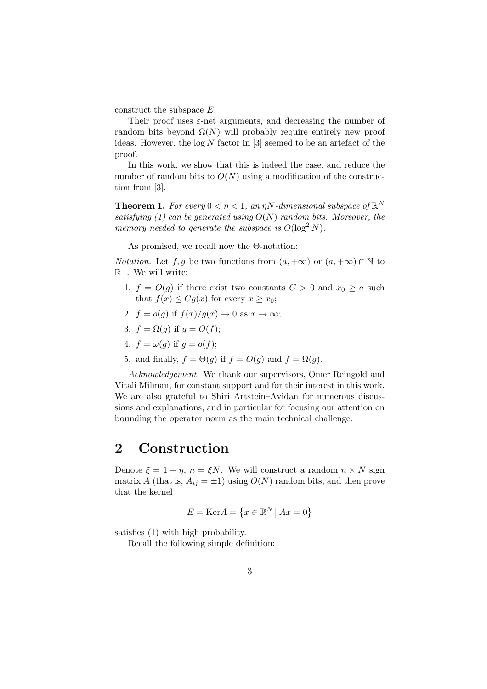construct the subspace E.

Their proof uses  $\varepsilon$ -net arguments, and decreasing the number of random bits beyond  $\Omega(N)$  will probably require entirely new proof ideas. However, the  $log N$  factor in [3] seemed to be an artefact of the proof.

In this work, we show that this is indeed the case, and reduce the number of random bits to  $O(N)$  using a modification of the construction from [3].

**Theorem 1.** For every  $0 < \eta < 1$ , an  $\eta N$ -dimensional subspace of  $\mathbb{R}^N$ satisfying (1) can be generated using  $O(N)$  random bits. Moreover, the memory needed to generate the subspace is  $O(\log^2 N)$ .

As promised, we recall now the Θ-notation:

*Notation.* Let  $f, g$  be two functions from  $(a, +\infty)$  or  $(a, +\infty) \cap \mathbb{N}$  to  $\mathbb{R}_+$ . We will write:

- 1.  $f = O(g)$  if there exist two constants  $C > 0$  and  $x_0 \ge a$  such that  $f(x) \leq Cg(x)$  for every  $x \geq x_0$ ;
- 2.  $f = o(g)$  if  $f(x)/g(x) \to 0$  as  $x \to \infty$ ;
- 3.  $f = \Omega(q)$  if  $q = O(f)$ ;
- 4.  $f = \omega(q)$  if  $q = o(f)$ ;
- 5. and finally,  $f = \Theta(q)$  if  $f = O(q)$  and  $f = \Omega(q)$ .

Acknowledgement. We thank our supervisors, Omer Reingold and Vitali Milman, for constant support and for their interest in this work. We are also grateful to Shiri Artstein–Avidan for numerous discussions and explanations, and in particular for focusing our attention on bounding the operator norm as the main technical challenge.

### 2 Construction

Denote  $\xi = 1 - \eta$ ,  $n = \xi N$ . We will construct a random  $n \times N$  sign matrix A (that is,  $A_{ij} = \pm 1$ ) using  $O(N)$  random bits, and then prove that the kernel

$$
E = \text{Ker}A = \left\{ x \in \mathbb{R}^N \mid Ax = 0 \right\}
$$

satisfies (1) with high probability.

Recall the following simple definition: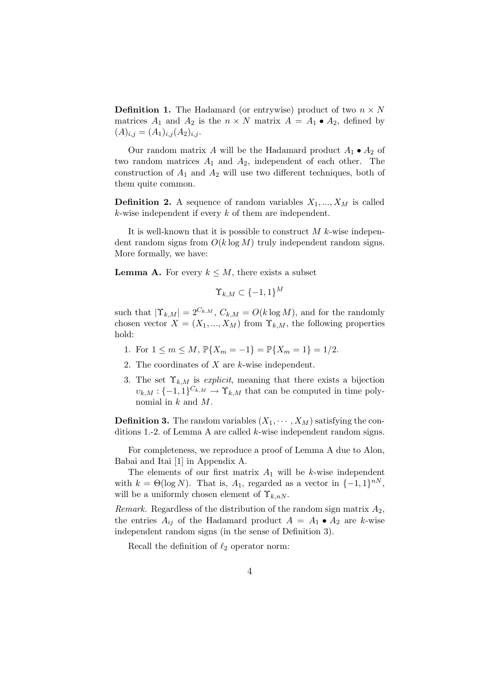**Definition 1.** The Hadamard (or entrywise) product of two  $n \times N$ matrices  $A_1$  and  $A_2$  is the  $n \times N$  matrix  $A = A_1 \bullet A_2$ , defined by  $(A)_{i,j} = (A_1)_{i,j} (A_2)_{i,j}.$ 

Our random matrix A will be the Hadamard product  $A_1 \bullet A_2$  of two random matrices  $A_1$  and  $A_2$ , independent of each other. The construction of  $A_1$  and  $A_2$  will use two different techniques, both of them quite common.

**Definition 2.** A sequence of random variables  $X_1, ..., X_M$  is called k-wise independent if every  $k$  of them are independent.

It is well-known that it is possible to construct  $M$  k-wise independent random signs from  $O(k \log M)$  truly independent random signs. More formally, we have:

**Lemma A.** For every  $k \leq M$ , there exists a subset

$$
\Upsilon_{k,M} \subset \{-1,1\}^M
$$

such that  $|\Upsilon_{k,M}| = 2^{C_{k,M}}$ ,  $C_{k,M} = O(k \log M)$ , and for the randomly chosen vector  $X = (X_1, ..., X_M)$  from  $\Upsilon_{k,M}$ , the following properties hold:

- 1. For  $1 \le m \le M$ ,  $\mathbb{P}\{X_m = -1\} = \mathbb{P}\{X_m = 1\} = 1/2$ .
- 2. The coordinates of  $X$  are  $k$ -wise independent.
- 3. The set  $\Upsilon_{k,M}$  is *explicit*, meaning that there exists a bijection  $v_{k,M}: \{-1,1\}^{C_{k,M}} \to \Upsilon_{k,M}$  that can be computed in time polynomial in  $k$  and  $M$ .

**Definition 3.** The random variables  $(X_1, \dots, X_M)$  satisfying the conditions 1.-2. of Lemma A are called k-wise independent random signs.

For completeness, we reproduce a proof of Lemma A due to Alon, Babai and Itai [1] in Appendix A.

The elements of our first matrix  $A_1$  will be k-wise independent with  $k = \Theta(\log N)$ . That is,  $A_1$ , regarded as a vector in  $\{-1, 1\}^{nN}$ , will be a uniformly chosen element of  $\Upsilon_{k,nN}$ .

Remark. Regardless of the distribution of the random sign matrix  $A_2$ , the entries  $A_{ij}$  of the Hadamard product  $A = A_1 \bullet A_2$  are k-wise independent random signs (in the sense of Definition 3).

Recall the definition of  $\ell_2$  operator norm: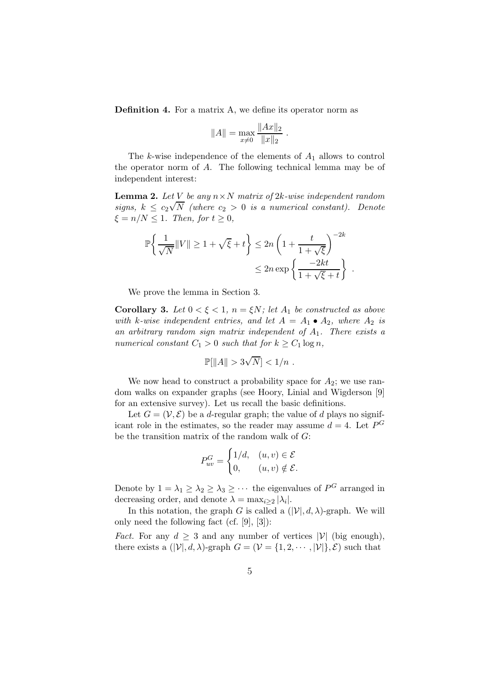Definition 4. For a matrix A, we define its operator norm as

$$
||A|| = \max_{x \neq 0} \frac{||Ax||_2}{||x||_2}.
$$

The k-wise independence of the elements of  $A_1$  allows to control the operator norm of A. The following technical lemma may be of independent interest:

**Lemma 2.** Let V be any  $n \times N$  matrix of 2k-wise independent random signs,  $k \leq c_2 \sqrt{N}$  (where  $c_2 > 0$  is a numerical constant). Denote  $\xi = n/N \leq 1$ . Then, for  $t \geq 0$ ,

$$
\mathbb{P}\left\{\frac{1}{\sqrt{N}}\|V\| \ge 1 + \sqrt{\xi} + t\right\} \le 2n\left(1 + \frac{t}{1 + \sqrt{\xi}}\right)^{-2k} \le 2n \exp\left\{\frac{-2kt}{1 + \sqrt{\xi} + t}\right\}.
$$

We prove the lemma in Section 3.

Corollary 3. Let  $0 < \xi < 1$ ,  $n = \xi N$ ; let  $A_1$  be constructed as above with k-wise independent entries, and let  $A = A_1 \bullet A_2$ , where  $A_2$  is an arbitrary random sign matrix independent of  $A_1$ . There exists a numerical constant  $C_1 > 0$  such that for  $k \geq C_1 \log n$ ,

$$
\mathbb{P}[\|A\| > 3\sqrt{N}] < 1/n.
$$

We now head to construct a probability space for  $A_2$ ; we use random walks on expander graphs (see Hoory, Linial and Wigderson [9] for an extensive survey). Let us recall the basic definitions.

Let  $G = (\mathcal{V}, \mathcal{E})$  be a d-regular graph; the value of d plays no significant role in the estimates, so the reader may assume  $d = 4$ . Let  $P^G$ be the transition matrix of the random walk of G:

$$
P_{uv}^G = \begin{cases} 1/d, & (u, v) \in \mathcal{E} \\ 0, & (u, v) \notin \mathcal{E}. \end{cases}
$$

Denote by  $1 = \lambda_1 \geq \lambda_2 \geq \lambda_3 \geq \cdots$  the eigenvalues of  $P^G$  arranged in decreasing order, and denote  $\lambda = \max_{i \geq 2} |\lambda_i|$ .

In this notation, the graph G is called a  $(|\mathcal{V}|, d, \lambda)$ -graph. We will only need the following fact (cf. [9], [3]):

*Fact.* For any  $d \geq 3$  and any number of vertices  $|\mathcal{V}|$  (big enough), there exists a  $(|\mathcal{V}|, d, \lambda)$ -graph  $G = (\mathcal{V} = \{1, 2, \dots, |\mathcal{V}|\}, \mathcal{E})$  such that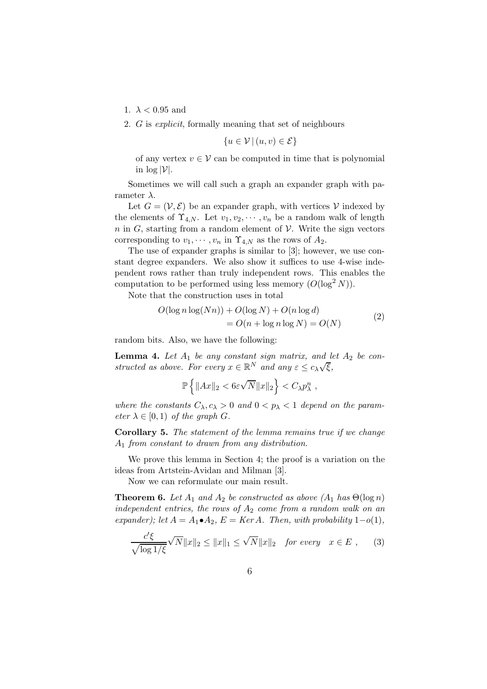- 1.  $\lambda < 0.95$  and
- 2. G is explicit, formally meaning that set of neighbours

$$
\{u \in \mathcal{V} \,|\, (u, v) \in \mathcal{E}\}
$$

of any vertex  $v \in V$  can be computed in time that is polynomial in  $\log |\mathcal{V}|$ .

Sometimes we will call such a graph an expander graph with parameter  $\lambda$ .

Let  $G = (\mathcal{V}, \mathcal{E})$  be an expander graph, with vertices V indexed by the elements of  $\Upsilon_{4,N}$ . Let  $v_1,v_2,\cdots,v_n$  be a random walk of length  $n$  in G, starting from a random element of  $\mathcal V$ . Write the sign vectors corresponding to  $v_1, \dots, v_n$  in  $\Upsilon_{4,N}$  as the rows of  $A_2$ .

The use of expander graphs is similar to [3]; however, we use constant degree expanders. We also show it suffices to use 4-wise independent rows rather than truly independent rows. This enables the computation to be performed using less memory  $(O(\log^2 N))$ .

Note that the construction uses in total

$$
O(\log n \log(Nn)) + O(\log N) + O(n \log d)
$$
  
= 
$$
O(n + \log n \log N) = O(N)
$$
 (2)

random bits. Also, we have the following:

**Lemma 4.** Let  $A_1$  be any constant sign matrix, and let  $A_2$  be constructed as above. For every  $x \in \mathbb{R}^N$  and any  $\varepsilon \leq c_{\lambda} \sqrt{\xi}$ ,

$$
\mathbb{P}\left\{\|Ax\|_2 < 6\varepsilon\sqrt{N}\|x\|_2\right\} < C_\lambda p_\lambda^n,
$$

where the constants  $C_{\lambda}, c_{\lambda} > 0$  and  $0 < p_{\lambda} < 1$  depend on the parameter  $\lambda \in [0,1)$  of the graph G.

Corollary 5. The statement of the lemma remains true if we change A<sup>1</sup> from constant to drawn from any distribution.

We prove this lemma in Section 4; the proof is a variation on the ideas from Artstein-Avidan and Milman [3].

Now we can reformulate our main result.

**Theorem 6.** Let  $A_1$  and  $A_2$  be constructed as above  $(A_1$  has  $\Theta(\log n)$ independent entries, the rows of  $A_2$  come from a random walk on an expander); let  $A = A_1 \cdot A_2$ ,  $E = Ker A$ . Then, with probability  $1-o(1)$ ,

$$
\frac{c'\xi}{\sqrt{\log 1/\xi}}\sqrt{N}\|x\|_2 \le \|x\|_1 \le \sqrt{N}\|x\|_2 \quad \text{for every} \quad x \in E , \qquad (3)
$$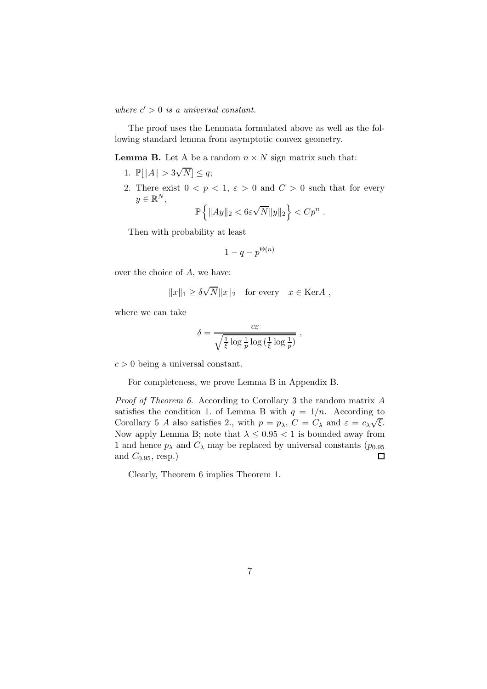where  $c' > 0$  is a universal constant.

The proof uses the Lemmata formulated above as well as the following standard lemma from asymptotic convex geometry.

**Lemma B.** Let A be a random  $n \times N$  sign matrix such that:

- 1.  $\mathbb{P}[\|A\| > 3\sqrt{N}] \leq q;$
- 2. There exist  $0 < p < 1$ ,  $\varepsilon > 0$  and  $C > 0$  such that for every  $y \in \mathbb{R}^N$ ,

$$
\mathbb{P}\left\{\|Ay\|_2 < 6\varepsilon\sqrt{N}\|y\|_2\right\} < Cp^n
$$

.

,

Then with probability at least

$$
1-q-p^{\Theta(n)}
$$

over the choice of A, we have:

$$
||x||_1 \ge \delta \sqrt{N} ||x||_2
$$
 for every  $x \in \text{Ker}A$ ,

where we can take

$$
\delta = \frac{c\varepsilon}{\sqrt{\frac{1}{\xi}\log \frac{1}{p}\log \left(\frac{1}{\xi}\log \frac{1}{p}\right)}}
$$

 $c > 0$  being a universal constant.

For completeness, we prove Lemma B in Appendix B.

Proof of Theorem 6. According to Corollary 3 the random matrix A satisfies the condition 1. of Lemma B with  $q = 1/n$ . According to Corollary 5 A also satisfies 2., with  $p = p_{\lambda}$ ,  $C = C_{\lambda}$  and  $\varepsilon = c_{\lambda} \sqrt{\xi}$ . Now apply Lemma B; note that  $\lambda \leq 0.95 < 1$  is bounded away from 1 and hence  $p_{\lambda}$  and  $C_{\lambda}$  may be replaced by universal constants  $(p_{0.95})$ and  $C_{0.95}$ , resp.)  $\Box$ 

Clearly, Theorem 6 implies Theorem 1.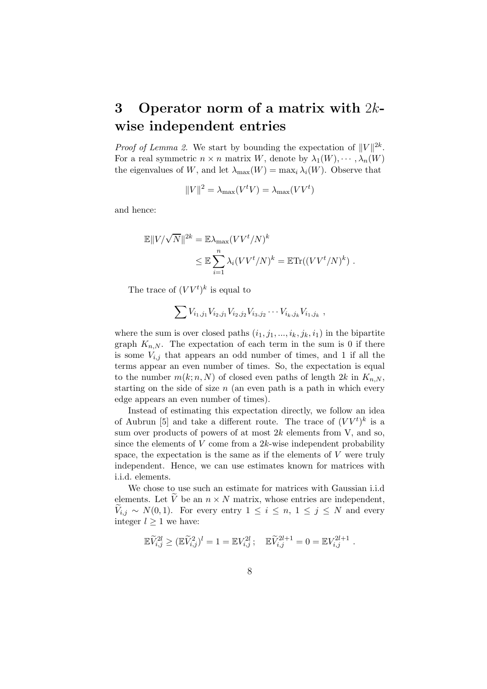## 3 Operator norm of a matrix with  $2k$ wise independent entries

*Proof of Lemma 2.* We start by bounding the expectation of  $||V||^{2k}$ . For a real symmetric  $n \times n$  matrix W, denote by  $\lambda_1(W), \cdots, \lambda_n(W)$ the eigenvalues of W, and let  $\lambda_{\max}(W) = \max_i \lambda_i(W)$ . Observe that

$$
||V||^2 = \lambda_{\text{max}}(V^t V) = \lambda_{\text{max}}(V V^t)
$$

and hence:

$$
\mathbb{E}||V/\sqrt{N}||^{2k} = \mathbb{E}\lambda_{\max}(VV^t/N)^k
$$
  

$$
\leq \mathbb{E}\sum_{i=1}^n \lambda_i (VV^t/N)^k = \mathbb{E}\text{Tr}((VV^t/N)^k).
$$

The trace of  $(VV^t)^k$  is equal to

$$
\sum V_{i_1,j_1} V_{i_2,j_1} V_{i_2,j_2} V_{i_3,j_2} \cdots V_{i_k,j_k} V_{i_1,j_k} ,
$$

where the sum is over closed paths  $(i_1,j_1,...,i_k,j_k,i_1)$  in the bipartite graph  $K_{n,N}$ . The expectation of each term in the sum is 0 if there is some  $V_{i,j}$  that appears an odd number of times, and 1 if all the terms appear an even number of times. So, the expectation is equal to the number  $m(k; n, N)$  of closed even paths of length 2k in  $K_{n,N}$ , starting on the side of size  $n$  (an even path is a path in which every edge appears an even number of times).

Instead of estimating this expectation directly, we follow an idea of Aubrun [5] and take a different route. The trace of  $(VV^t)^k$  is a sum over products of powers of at most  $2k$  elements from V, and so, since the elements of  $V$  come from a  $2k$ -wise independent probability space, the expectation is the same as if the elements of  $V$  were truly independent. Hence, we can use estimates known for matrices with i.i.d. elements.

We chose to use such an estimate for matrices with Gaussian i.i.d elements. Let  $\widetilde{V}$  be an  $n \times N$  matrix, whose entries are independent,  $V_{i,j} \sim N(0,1)$ . For every entry  $1 \leq i \leq n, 1 \leq j \leq N$  and every integer  $l \geq 1$  we have:

$$
\mathbb{E} \widetilde{V}_{i,j}^{2l} \geq (\mathbb{E} \widetilde{V}_{i,j}^2)^l = 1 = \mathbb{E} V_{i,j}^{2l} ; \quad \mathbb{E} \widetilde{V}_{i,j}^{2l+1} = 0 = \mathbb{E} V_{i,j}^{2l+1} .
$$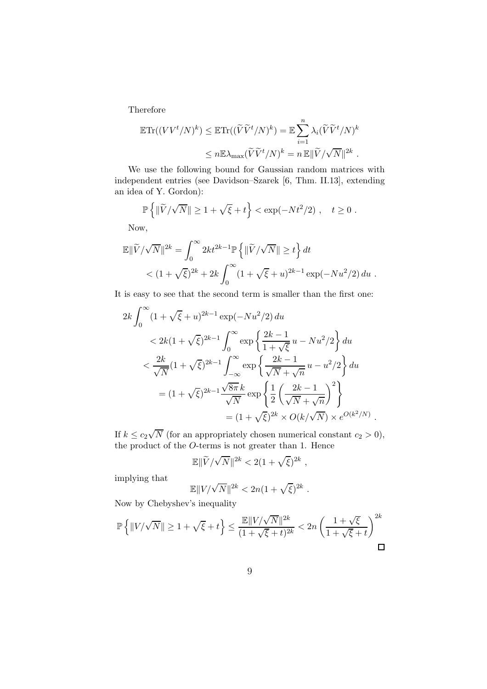Therefore

$$
\mathbb{E}\mathrm{Tr}((VV^t/N)^k) \leq \mathbb{E}\mathrm{Tr}((\widetilde{V}\widetilde{V}^t/N)^k) = \mathbb{E}\sum_{i=1}^n \lambda_i (\widetilde{V}\widetilde{V}^t/N)^k
$$
  

$$
\leq n \mathbb{E}\lambda_{\max}(\widetilde{V}\widetilde{V}^t/N)^k = n \mathbb{E}\|\widetilde{V}/\sqrt{N}\|^{2k}.
$$

We use the following bound for Gaussian random matrices with independent entries (see Davidson–Szarek [6, Thm. II.13], extending an idea of Y. Gordon):

$$
\mathbb{P}\left\{\|\widetilde{V}/\sqrt{N}\| \geq 1 + \sqrt{\xi} + t\right\} < \exp(-Nt^2/2), \quad t \geq 0.
$$

Now,

$$
\mathbb{E} \|\widetilde{V}/\sqrt{N}\|^{2k} = \int_0^\infty 2kt^{2k-1} \mathbb{P} \left\{ \|\widetilde{V}/\sqrt{N}\| \ge t \right\} dt
$$
  
<  $(1 + \sqrt{\xi})^{2k} + 2k \int_0^\infty (1 + \sqrt{\xi} + u)^{2k-1} \exp(-Nu^2/2) du$ .

It is easy to see that the second term is smaller than the first one:

$$
2k \int_0^{\infty} (1 + \sqrt{\xi} + u)^{2k-1} \exp(-Nu^2/2) du
$$
  

$$
< 2k(1 + \sqrt{\xi})^{2k-1} \int_0^{\infty} \exp\left\{\frac{2k-1}{1+\sqrt{\xi}}u - Nu^2/2\right\} du
$$
  

$$
< \frac{2k}{\sqrt{N}} (1 + \sqrt{\xi})^{2k-1} \int_{-\infty}^{\infty} \exp\left\{\frac{2k-1}{\sqrt{N} + \sqrt{n}}u - u^2/2\right\} du
$$
  

$$
= (1 + \sqrt{\xi})^{2k-1} \frac{\sqrt{8\pi} k}{\sqrt{N}} \exp\left\{\frac{1}{2} \left(\frac{2k-1}{\sqrt{N} + \sqrt{n}}\right)^2\right\}
$$
  

$$
= (1 + \sqrt{\xi})^{2k} \times O(k/\sqrt{N}) \times e^{O(k^2/N)}.
$$

If  $k \leq c_2 \sqrt{N}$  (for an appropriately chosen numerical constant  $c_2 > 0$ ), the product of the O-terms is not greater than 1. Hence

$$
\mathbb{E}\|\widetilde{V}/\sqrt{N}\|^{2k} < 2(1+\sqrt{\xi})^{2k} \;,
$$

implying that

$$
\mathbb{E}||V/\sqrt{N}||^{2k} < 2n(1+\sqrt{\xi})^{2k}.
$$

Now by Chebyshev's inequality

$$
\mathbb{P}\left\{\|V/\sqrt{N}\| \geq 1 + \sqrt{\xi} + t\right\} \leq \frac{\mathbb{E}\|V/\sqrt{N}\|^{2k}}{(1 + \sqrt{\xi} + t)^{2k}} < 2n\left(\frac{1 + \sqrt{\xi}}{1 + \sqrt{\xi} + t}\right)^{2k}
$$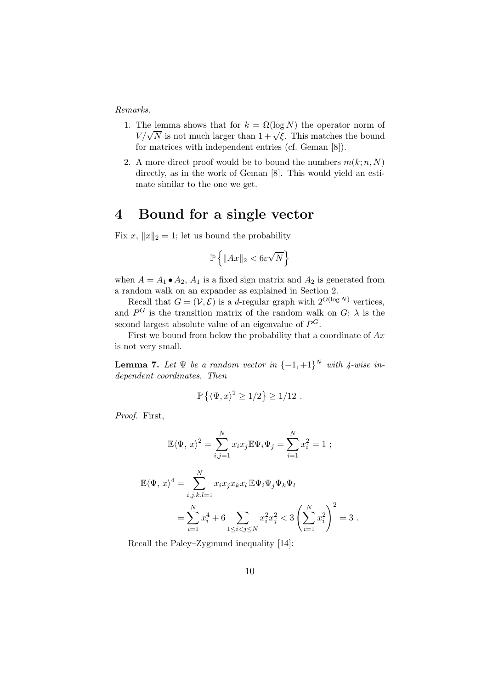Remarks.

- 1. The lemma shows that for  $k = \Omega(\log N)$  the operator norm of  $V/\sqrt{N}$  is not much larger than  $1 + \sqrt{\xi}$ . This matches the bound for matrices with independent entries (cf. Geman [8]).
- 2. A more direct proof would be to bound the numbers  $m(k; n, N)$ directly, as in the work of Geman [8]. This would yield an estimate similar to the one we get.

#### 4 Bound for a single vector

Fix x,  $||x||_2 = 1$ ; let us bound the probability

$$
\mathbb{P}\left\{\|Ax\|_2<6\varepsilon\sqrt{N}\right\}
$$

when  $A = A_1 \bullet A_2$ ,  $A_1$  is a fixed sign matrix and  $A_2$  is generated from a random walk on an expander as explained in Section 2.

Recall that  $G = (\mathcal{V}, \mathcal{E})$  is a d-regular graph with  $2^{O(\log N)}$  vertices, and  $P^G$  is the transition matrix of the random walk on  $G$ ;  $\lambda$  is the second largest absolute value of an eigenvalue of  $P^G$ .

First we bound from below the probability that a coordinate of  $Ax$ is not very small.

**Lemma 7.** Let  $\Psi$  be a random vector in  $\{-1, +1\}^N$  with  $\sharp$ -wise independent coordinates. Then

$$
\mathbb{P}\left\{ \langle \Psi, x \rangle^2 \ge 1/2 \right\} \ge 1/12.
$$

Proof. First,

$$
\mathbb{E}\langle\Psi, x\rangle^2 = \sum_{i,j=1}^N x_i x_j \mathbb{E}\Psi_i \Psi_j = \sum_{i=1}^N x_i^2 = 1 ;
$$
  

$$
\mathbb{E}\langle\Psi, x\rangle^4 = \sum_{i,j,k,l=1}^N x_i x_j x_k x_l \mathbb{E}\Psi_i \Psi_j \Psi_k \Psi_l
$$
  

$$
= \sum_{i=1}^N x_i^4 + 6 \sum_{1 \le i < j \le N} x_i^2 x_j^2 < 3 \left(\sum_{i=1}^N x_i^2\right)^2 = 3 .
$$

Recall the Paley–Zygmund inequality [14]: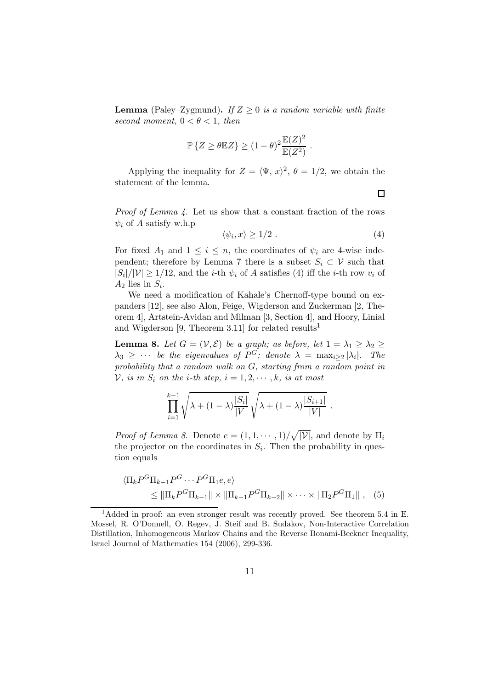**Lemma** (Paley–Zygmund). If  $Z \geq 0$  is a random variable with finite second moment,  $0 < \theta < 1$ , then

$$
\mathbb{P}\left\{Z \ge \theta \mathbb{E}Z\right\} \ge (1-\theta)^2 \frac{\mathbb{E}(Z)^2}{\mathbb{E}(Z^2)}.
$$

Applying the inequality for  $Z = \langle \Psi, x \rangle^2$ ,  $\theta = 1/2$ , we obtain the statement of the lemma.

Proof of Lemma 4. Let us show that a constant fraction of the rows  $\psi_i$  of A satisfy w.h.p

$$
\langle \psi_i, x \rangle \ge 1/2 \tag{4}
$$

.

For fixed  $A_1$  and  $1 \leq i \leq n$ , the coordinates of  $\psi_i$  are 4-wise independent; therefore by Lemma 7 there is a subset  $S_i \subset \mathcal{V}$  such that  $|S_i|/|\mathcal{V}| \geq 1/12$ , and the *i*-th  $\psi_i$  of A satisfies (4) iff the *i*-th row  $v_i$  of  $A_2$  lies in  $S_i$ .

We need a modification of Kahale's Chernoff-type bound on expanders [12], see also Alon, Feige, Wigderson and Zuckerman [2, Theorem 4], Artstein-Avidan and Milman [3, Section 4], and Hoory, Linial and Wigderson [9, Theorem 3.11] for related results<sup>1</sup>

**Lemma 8.** Let  $G = (\mathcal{V}, \mathcal{E})$  be a graph; as before, let  $1 = \lambda_1 \geq \lambda_2 \geq$  $\lambda_3 \geq \cdots$  be the eigenvalues of  $P^G$ ; denote  $\lambda = \max_{i \geq 2} |\lambda_i|$ . The probability that a random walk on G, starting from a random point in V, is in  $S_i$  on the *i*-th step,  $i = 1, 2, \dots, k$ , is at most

$$
\prod_{i=1}^{k-1} \sqrt{\lambda + (1-\lambda) \frac{|S_i|}{|V|}} \sqrt{\lambda + (1-\lambda) \frac{|S_{i+1}|}{|V|}}
$$

*Proof of Lemma 8.* Denote  $e = (1, 1, \dots, 1) / \sqrt{|\mathcal{V}|}$ , and denote by  $\Pi_i$ the projector on the coordinates in  $S_i$ . Then the probability in question equals

$$
\langle \Pi_k P^G \Pi_{k-1} P^G \cdots P^G \Pi_1 e, e \rangle
$$
  
\n
$$
\leq \| \Pi_k P^G \Pi_{k-1} \| \times \| \Pi_{k-1} P^G \Pi_{k-2} \| \times \cdots \times \| \Pi_2 P^G \Pi_1 \|,
$$
 (5)

 $\Box$ 

<sup>&</sup>lt;sup>1</sup>Added in proof: an even stronger result was recently proved. See theorem 5.4 in E. Mossel, R. O'Donnell, O. Regev, J. Steif and B. Sudakov, Non-Interactive Correlation Distillation, Inhomogeneous Markov Chains and the Reverse Bonami-Beckner Inequality, Israel Journal of Mathematics 154 (2006), 299-336.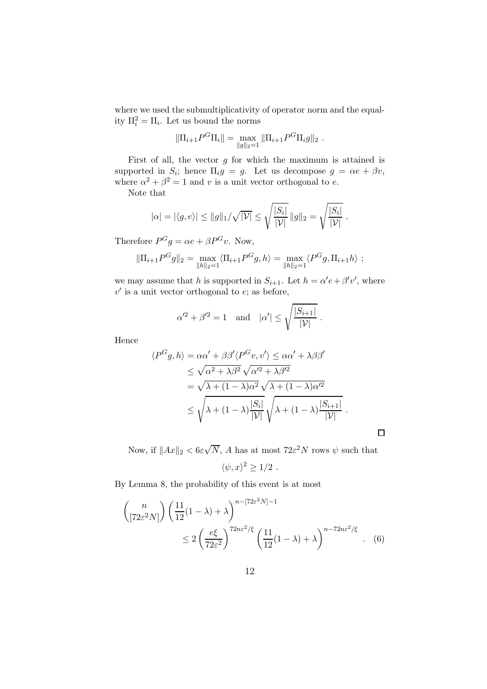where we used the submultiplicativity of operator norm and the equality  $\Pi_i^2 = \Pi_i$ . Let us bound the norms

$$
\|\Pi_{i+1}P^G\Pi_i\| = \max_{\|g\|_2=1} \|\Pi_{i+1}P^G\Pi_i g\|_2.
$$

First of all, the vector  $g$  for which the maximum is attained is supported in  $S_i$ ; hence  $\Pi_i g = g$ . Let us decompose  $g = \alpha e + \beta v$ , where  $\alpha^2 + \beta^2 = 1$  and v is a unit vector orthogonal to e.

Note that

$$
|\alpha| = |\langle g, e \rangle| \le ||g||_1/\sqrt{|V|} \le \sqrt{\frac{|S_i|}{|V|}} ||g||_2 = \sqrt{\frac{|S_i|}{|V|}}.
$$

Therefore  $P^G g = \alpha e + \beta P^G v$ . Now,

$$
\|\Pi_{i+1} P^G g\|_2 = \max_{\|h\|_2=1} \langle \Pi_{i+1} P^G g, h \rangle = \max_{\|h\|_2=1} \langle P^G g, \Pi_{i+1} h \rangle ;
$$

we may assume that h is supported in  $S_{i+1}$ . Let  $h = \alpha' e + \beta' v'$ , where  $v'$  is a unit vector orthogonal to  $e$ ; as before,

$$
\alpha'^2 + \beta'^2 = 1 \quad \text{and} \quad |\alpha'| \le \sqrt{\frac{|S_{i+1}|}{|\mathcal{V}|}}.
$$

Hence

$$
\langle P^G g, h \rangle = \alpha \alpha' + \beta \beta' \langle P^G v, v' \rangle \leq \alpha \alpha' + \lambda \beta \beta' \n\leq \sqrt{\alpha^2 + \lambda \beta^2} \sqrt{\alpha'^2 + \lambda \beta'^2} \n= \sqrt{\lambda + (1 - \lambda) \alpha^2} \sqrt{\lambda + (1 - \lambda) \alpha'^2} \n\leq \sqrt{\lambda + (1 - \lambda) \frac{|S_i|}{|\mathcal{V}|}} \sqrt{\lambda + (1 - \lambda) \frac{|S_{i+1}|}{|\mathcal{V}|}}.
$$

 $\Box$ 

Now, if  $||Ax||_2 < 6\varepsilon\sqrt{N}$ , A has at most  $72\varepsilon^2 N$  rows  $\psi$  such that

$$
\langle \psi, x \rangle^2 \geq 1/2 \; .
$$

By Lemma 8, the probability of this event is at most

$$
\binom{n}{\left[72\varepsilon^2 N\right]} \left(\frac{11}{12}(1-\lambda) + \lambda\right)^{n-\left[72\varepsilon^2 N\right]-1} \le 2\left(\frac{e\xi}{72\varepsilon^2}\right)^{72n\varepsilon^2/\xi} \left(\frac{11}{12}(1-\lambda) + \lambda\right)^{n-72n\varepsilon^2/\xi} . \tag{6}
$$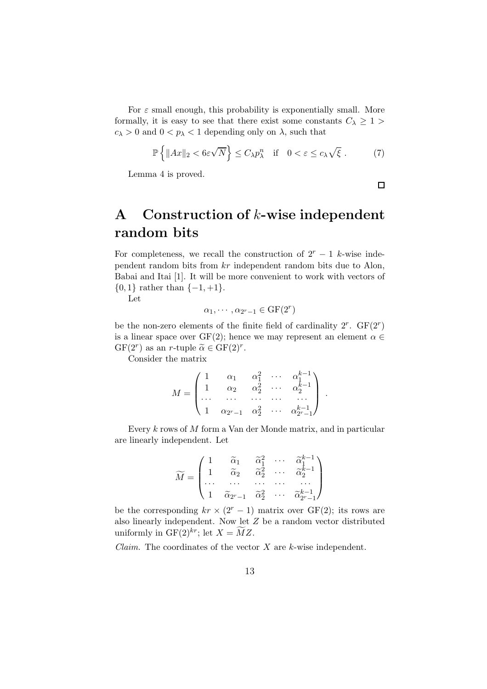For  $\varepsilon$  small enough, this probability is exponentially small. More formally, it is easy to see that there exist some constants  $C_{\lambda} \geq 1$  $c_{\lambda} > 0$  and  $0 < p_{\lambda} < 1$  depending only on  $\lambda$ , such that

$$
\mathbb{P}\left\{\|Ax\|_2 < 6\varepsilon\sqrt{N}\right\} \le C_\lambda p_\lambda^n \quad \text{if} \quad 0 < \varepsilon \le c_\lambda\sqrt{\xi} \,. \tag{7}
$$

Lemma 4 is proved.

$$
\Box
$$

## A Construction of  $k$ -wise independent random bits

For completeness, we recall the construction of  $2<sup>r</sup> - 1$  k-wise independent random bits from kr independent random bits due to Alon, Babai and Itai [1]. It will be more convenient to work with vectors of  ${0, 1}$  rather than  ${-1, +1}$ .

Let

$$
\alpha_1, \cdots, \alpha_{2^r-1} \in \mathrm{GF}(2^r)
$$

be the non-zero elements of the finite field of cardinality  $2^r$ .  $GF(2^r)$ is a linear space over GF(2); hence we may represent an element  $\alpha \in$  $GF(2^r)$  as an *r*-tuple  $\widetilde{\alpha} \in GF(2)^r$ .

Consider the matrix

$$
M = \begin{pmatrix} 1 & \alpha_1 & \alpha_1^2 & \cdots & \alpha_1^{k-1} \\ 1 & \alpha_2 & \alpha_2^2 & \cdots & \alpha_2^{k-1} \\ \cdots & \cdots & \cdots & \cdots & \cdots \\ 1 & \alpha_{2^r-1} & \alpha_2^2 & \cdots & \alpha_{2^r-1}^{k-1} \end{pmatrix}.
$$

Every k rows of M form a Van der Monde matrix, and in particular are linearly independent. Let

$$
\widetilde{M} = \begin{pmatrix} 1 & \widetilde{\alpha}_1 & \widetilde{\alpha}_1^2 & \cdots & \widetilde{\alpha}_1^{k-1} \\ 1 & \widetilde{\alpha}_2 & \widetilde{\alpha}_2^2 & \cdots & \widetilde{\alpha}_2^{k-1} \\ \cdots & \cdots & \cdots & \cdots & \cdots \\ 1 & \widetilde{\alpha}_{2^r-1} & \widetilde{\alpha}_2^2 & \cdots & \widetilde{\alpha}_{2^r-1}^{k-1} \end{pmatrix}
$$

be the corresponding  $kr \times (2^r - 1)$  matrix over GF(2); its rows are also linearly independent. Now let Z be a random vector distributed uniformly in  $GF(2)^{kr}$ ; let  $X = \widetilde{M}Z$ .

*Claim.* The coordinates of the vector  $X$  are  $k$ -wise independent.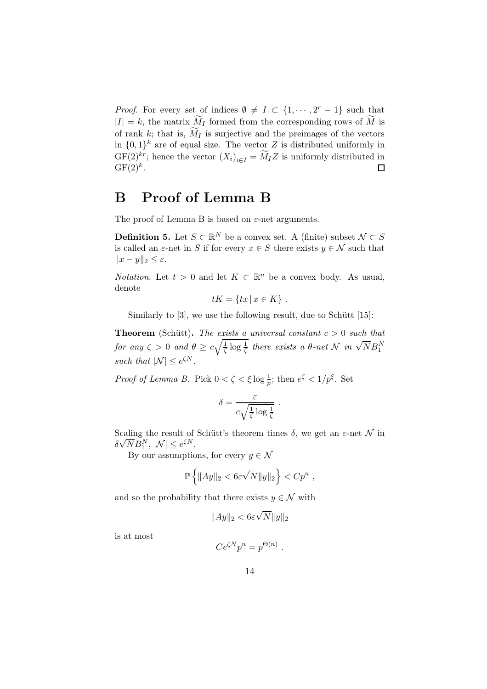*Proof.* For every set of indices  $\emptyset \neq I \subset \{1, \dots, 2^r - 1\}$  such that  $|I| = k$ , the matrix  $\widetilde{M}_I$  formed from the corresponding rows of  $\widetilde{M}$  is of rank k; that is,  $\widetilde{M}_I$  is surjective and the preimages of the vectors in  $\{0,1\}^k$  are of equal size. The vector Z is distributed uniformly in  $GF(2)<sup>kr</sup>$ ; hence the vector  $(X<sub>i</sub>)<sub>i\in I</sub> = M<sub>I</sub>Z$  is uniformly distributed in  $GF(2)<sup>k</sup>$ .

## B Proof of Lemma B

The proof of Lemma B is based on  $\varepsilon$ -net arguments.

**Definition 5.** Let  $S \subset \mathbb{R}^N$  be a convex set. A (finite) subset  $\mathcal{N} \subset S$ is called an  $\varepsilon$ -net in S if for every  $x \in S$  there exists  $y \in \mathcal{N}$  such that  $||x - y||_2 \leq \varepsilon.$ 

*Notation.* Let  $t > 0$  and let  $K \subset \mathbb{R}^n$  be a convex body. As usual, denote

$$
tK = \{tx \mid x \in K\} .
$$

Similarly to  $[3]$ , we use the following result, due to Schütt  $[15]$ :

**Theorem** (Schütt). The exists a universal constant  $c > 0$  such that for any  $\zeta > 0$  and  $\theta \geq c \sqrt{\frac{1}{\zeta}}$  $\frac{1}{\zeta} \log \frac{1}{\zeta}$  there exists a  $\theta$ -net  $\mathcal{N}$  in  $\sqrt{N} B_1^N$ such that  $|\mathcal{N}| \leq e^{\zeta N}$ .

*Proof of Lemma B.* Pick  $0 < \zeta < \xi \log \frac{1}{p}$ ; then  $e^{\zeta} < 1/p^{\xi}$ . Set

$$
\delta = \frac{\varepsilon}{c\sqrt{\frac{1}{\zeta}\log\frac{1}{\zeta}}} \; .
$$

Scaling the result of Schütt's theorem times  $\delta$ , we get an  $\varepsilon$ -net  $\mathcal N$  in  $\delta \sqrt{N} B_1^N$ ,  $|\mathcal{N}| \leq e^{\zeta N}$ .

By our assumptions, for every  $y \in \mathcal{N}$ 

$$
\mathbb{P}\left\{\|Ay\|_2 < 6\varepsilon\sqrt{N}\|y\|_2\right\} < Cp^n \;,
$$

and so the probability that there exists  $y \in \mathcal{N}$  with

$$
\|Ay\|_2 < 6\varepsilon\sqrt{N}\|y\|_2
$$

is at most

$$
Ce^{\zeta N}p^n = p^{\Theta(n)}
$$

.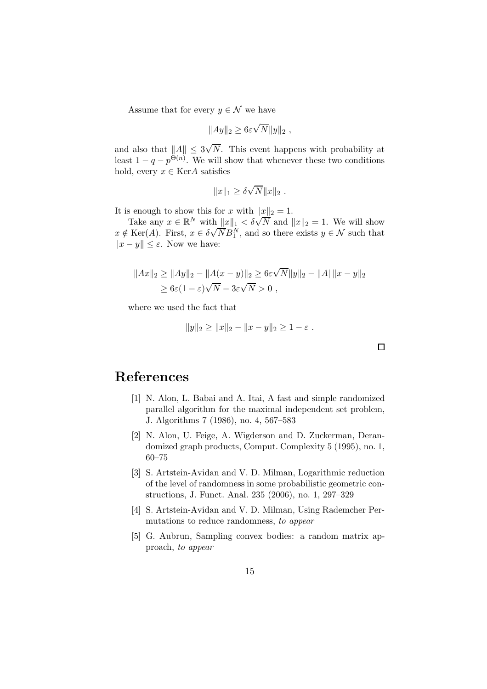Assume that for every  $y \in \mathcal{N}$  we have

$$
||Ay||_2 \ge 6\varepsilon \sqrt{N}||y||_2,
$$

and also that  $||A|| \leq 3\sqrt{N}$ . This event happens with probability at least  $1 - q - p^{\Theta(n)}$ . We will show that whenever these two conditions hold, every  $x \in \text{Ker} A$  satisfies

$$
||x||_1 \ge \delta \sqrt{N} ||x||_2.
$$

It is enough to show this for x with  $||x||_2 = 1$ .

Take any  $x \in \mathbb{R}^N$  with  $||x||_1 < \delta \sqrt{N}$  and  $||x||_2 = 1$ . We will show x  $\notin$  Ker(A). First,  $x \in \delta \sqrt{N} B_1^N$ , and so there exists  $y \in \mathcal{N}$  such that  $||x - y|| \le \varepsilon$ . Now we have:

$$
||Ax||_2 \ge ||Ay||_2 - ||A(x - y)||_2 \ge 6\varepsilon\sqrt{N}||y||_2 - ||A||||x - y||_2
$$
  
 
$$
\ge 6\varepsilon(1 - \varepsilon)\sqrt{N} - 3\varepsilon\sqrt{N} > 0,
$$

where we used the fact that

$$
||y||_2 \ge ||x||_2 - ||x - y||_2 \ge 1 - \varepsilon.
$$

## References

- [1] N. Alon, L. Babai and A. Itai, A fast and simple randomized parallel algorithm for the maximal independent set problem, J. Algorithms 7 (1986), no. 4, 567–583
- [2] N. Alon, U. Feige, A. Wigderson and D. Zuckerman, Derandomized graph products, Comput. Complexity 5 (1995), no. 1, 60–75
- [3] S. Artstein-Avidan and V. D. Milman, Logarithmic reduction of the level of randomness in some probabilistic geometric constructions, J. Funct. Anal. 235 (2006), no. 1, 297–329
- [4] S. Artstein-Avidan and V. D. Milman, Using Rademcher Permutations to reduce randomness, to appear
- [5] G. Aubrun, Sampling convex bodies: a random matrix approach, to appear